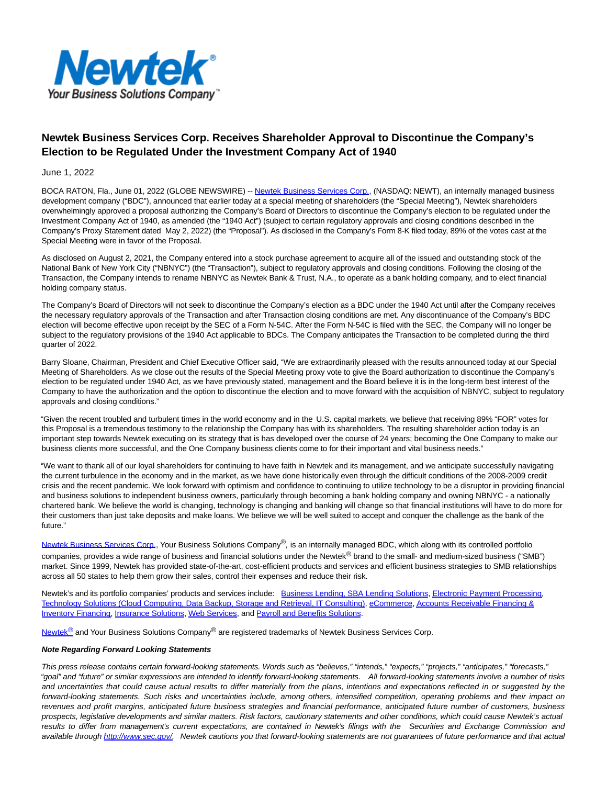

## **Newtek Business Services Corp. Receives Shareholder Approval to Discontinue the Company's Election to be Regulated Under the Investment Company Act of 1940**

June 1, 2022

BOCA RATON, Fla., June 01, 2022 (GLOBE NEWSWIRE) -[- Newtek Business Services Corp.,](https://www.globenewswire.com/Tracker?data=yeGrQpwDVbBl6dVzL3AZk6xqggeEjcs7MX16-7ya8x3PI3zfd0opM1J4OeLiOPav0OYpOjIDi09nK0-dB5wgt-LSRiV9yfSnRBWcao5LxFU=) (NASDAQ: NEWT), an internally managed business development company ("BDC"), announced that earlier today at a special meeting of shareholders (the "Special Meeting"), Newtek shareholders overwhelmingly approved a proposal authorizing the Company's Board of Directors to discontinue the Company's election to be regulated under the Investment Company Act of 1940, as amended (the "1940 Act") (subject to certain regulatory approvals and closing conditions described in the Company's Proxy Statement dated May 2, 2022) (the "Proposal"). As disclosed in the Company's Form 8-K filed today, 89% of the votes cast at the Special Meeting were in favor of the Proposal.

As disclosed on August 2, 2021, the Company entered into a stock purchase agreement to acquire all of the issued and outstanding stock of the National Bank of New York City ("NBNYC") (the "Transaction"), subject to regulatory approvals and closing conditions. Following the closing of the Transaction, the Company intends to rename NBNYC as Newtek Bank & Trust, N.A., to operate as a bank holding company, and to elect financial holding company status.

The Company's Board of Directors will not seek to discontinue the Company's election as a BDC under the 1940 Act until after the Company receives the necessary regulatory approvals of the Transaction and after Transaction closing conditions are met. Any discontinuance of the Company's BDC election will become effective upon receipt by the SEC of a Form N-54C. After the Form N-54C is filed with the SEC, the Company will no longer be subject to the regulatory provisions of the 1940 Act applicable to BDCs. The Company anticipates the Transaction to be completed during the third quarter of 2022.

Barry Sloane, Chairman, President and Chief Executive Officer said, "We are extraordinarily pleased with the results announced today at our Special Meeting of Shareholders. As we close out the results of the Special Meeting proxy vote to give the Board authorization to discontinue the Company's election to be regulated under 1940 Act, as we have previously stated, management and the Board believe it is in the long-term best interest of the Company to have the authorization and the option to discontinue the election and to move forward with the acquisition of NBNYC, subject to regulatory approvals and closing conditions."

"Given the recent troubled and turbulent times in the world economy and in the U.S. capital markets, we believe that receiving 89% "FOR" votes for this Proposal is a tremendous testimony to the relationship the Company has with its shareholders. The resulting shareholder action today is an important step towards Newtek executing on its strategy that is has developed over the course of 24 years; becoming the One Company to make our business clients more successful, and the One Company business clients come to for their important and vital business needs."

"We want to thank all of our loyal shareholders for continuing to have faith in Newtek and its management, and we anticipate successfully navigating the current turbulence in the economy and in the market, as we have done historically even through the difficult conditions of the 2008-2009 credit crisis and the recent pandemic. We look forward with optimism and confidence to continuing to utilize technology to be a disruptor in providing financial and business solutions to independent business owners, particularly through becoming a bank holding company and owning NBNYC - a nationally chartered bank. We believe the world is changing, technology is changing and banking will change so that financial institutions will have to do more for their customers than just take deposits and make loans. We believe we will be well suited to accept and conquer the challenge as the bank of the future."

[Newtek Business Services Corp.,](https://www.globenewswire.com/Tracker?data=yeGrQpwDVbBl6dVzL3AZk6xqggeEjcs7MX16-7ya8x0bLfryWqQ5yrHkdegEuwmi13njqq_iv2FgdQMVIIL6TJZ_w81wFpzWp19zSFz1e9M=) Your Business Solutions Company®, is an internally managed BDC, which along with its controlled portfolio companies, provides a wide range of business and financial solutions under the Newtek® brand to the small- and medium-sized business ("SMB") market. Since 1999, Newtek has provided state-of-the-art, cost-efficient products and services and efficient business strategies to SMB relationships across all 50 states to help them grow their sales, control their expenses and reduce their risk.

Newtek's and its portfolio companies' products and services include: [Business Lending, SBA Lending Solutions,](https://www.globenewswire.com/Tracker?data=Ybt7Nzkl_UOVSRuH_683M3-sz8zqZUc9wdzBGfwhC7aTW3FR1jzKqpigVWU3kcfcX-6pGLUbYqXeiFgY6MeEYgYH6nDkJvLMNL6kRcdTd_HHiJAMDIolcerisqCKGeQy) [Electronic Payment Processing,](https://www.globenewswire.com/Tracker?data=QNhfa5yeNoXMftnDCQUODCyI45oWhKzeWj31U7JQPpeoMPPOrfxspstHj4OaSGy1rMznYbaIqDBMJL1vDBLcY7wzh_c_4JKOfUCQh1jfcU_wYj8CXNUFPQnlZotLE-Em) [Technology Solutions \(Cloud Computing, Data Backup, Storage and Retrieval, IT Consulting\),](https://www.globenewswire.com/Tracker?data=5247mEe0gTc0ibSAwiB32WwYo5s9dbHfgTDKQvYTPVZ8nJ8NOCf72pf1wvonBXwCGdj6R68SAjE_mbZjAN6D4-XG20XuXCIc35GqjpZZX4LFmNflz2_-g7QejpDscs3fkuCOo1ThNpk9IHt6LlIHOLmDslIuASZtkA4YGrPbI_NsGlqokVnfNVe5dB1MFLJSHH25H0djorkBdIk10SmVIA==) [eCommerce,](https://www.globenewswire.com/Tracker?data=fVHzh5nekDqtwwObuk06XSO9L2FIFolcdB34sd7-7XnlGU9UXtf8RK87gL49O4Ih9YzXeIzf7GlKEAWGsR5WAKJEM5g436nfPOKRJDjI-L8=) [Accounts Receivable Financing &](https://www.globenewswire.com/Tracker?data=PyUrAd2YdVy0JcFjr5-4nHCMm3Ht5i9dgDGwVDv9o28bwIJpJrt0jAjTJ8WuV-U7wdPQIsY0dg8PJo6-fGs761imqDInhSyKP5Kex-S6ZZcxqNoSvFYxY_8hzpnkmU_F7OyeJzbZ4eAI30pW1v7xRyazumy4_fAY-QtH9gHWgmkIEhTnpIRoFfidFjrSIrkFoBgc0SMB_1xowqx7fK0OdA==) Inventory Financing, [Insurance Solutions,](https://www.globenewswire.com/Tracker?data=cFmoQWzR6B6MZEl62-xhY0Cvs-U9zt9gsGKqrmDMDmbsVd7HIARUtzzkS-nKow8n__csvzYi4OQXxK6hWR8jD1Oxt48GKaiYPeWHxvPx0lY=) [Web Services,](https://www.globenewswire.com/Tracker?data=kUt9pcmUNGvZHtkCioM1O_l2Xk0zwoLv37SeXUiohoCMky-tTBtB4GDiHlCjlStG7cC0-8uXRJieLPjHCOeDog==) and [Payroll and Benefits Solutions.](https://www.globenewswire.com/Tracker?data=uSzcYciAayWk9CoqCd3RNuPQQNU7T7l8zXjsrFkgKNTXtIXvyLMZeHCElOJMm43sEHrHg3XPvbbEPcEEVJKY5S6ofuHm0Qa_ItNhxKXTrYU=)

[Newtek](https://www.globenewswire.com/Tracker?data=yeGrQpwDVbBl6dVzL3AZkwB0-baC2D9ptmUBiqg-fO4QxLWtK02JyiOT1Kmv61scOoqv6TI6HvFWNH9sYry71A==)<sup>[®](https://www.globenewswire.com/Tracker?data=d0j9zQgNuYC1wiYeDc-XqUVKChMtBHVE2X2wE_98bQ9I6M8Ob83m9giJpCtuMfyQEG45WFQgZ6Alqx0YcWbFpw==)</sup> and Your Business Solutions Company<sup>®</sup> are registered trademarks of Newtek Business Services Corp.

## **Note Regarding Forward Looking Statements**

This press release contains certain forward-looking statements. Words such as "believes," "intends," "expects," "projects," "anticipates," "forecasts," "goal" and "future" or similar expressions are intended to identify forward-looking statements. All forward-looking statements involve a number of risks and uncertainties that could cause actual results to differ materially from the plans, intentions and expectations reflected in or suggested by the forward-looking statements. Such risks and uncertainties include, among others, intensified competition, operating problems and their impact on revenues and profit margins, anticipated future business strategies and financial performance, anticipated future number of customers, business prospects, legislative developments and similar matters. Risk factors, cautionary statements and other conditions, which could cause Newtek's actual results to differ from management's current expectations, are contained in Newtek's filings with the Securities and Exchange Commission and available through [http://www.sec.gov/.](https://www.globenewswire.com/Tracker?data=t4YxwTtnO8YHsIaS6YTpmXaNiTgMD5BHj6p57H6UvfWdD8YB5I98XzhYMcKRu5W5_QyFJbZZ9ImJvM1hzEMWIg==) Newtek cautions you that forward-looking statements are not guarantees of future performance and that actual